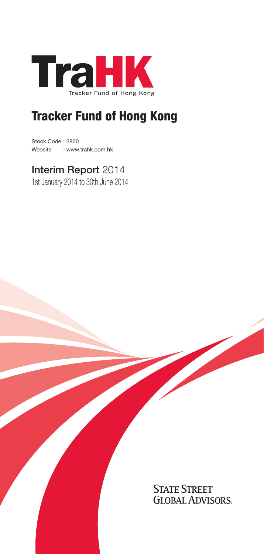

# Tracker Fund of Hong Kong

Stock Code : 2800 Website : www.trahk.com.hk

# Interim Report 2014

1st January 2014 to 30th June 2014

**STATE STREET GLOBAL ADVISORS**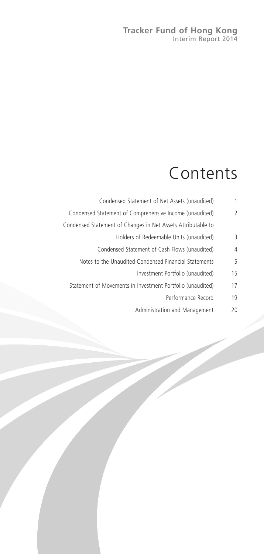### **Tracker Fund of Hong Kong** Interim Report 2014

# Contents

| 1  | Condensed Statement of Net Assets (unaudited)                |
|----|--------------------------------------------------------------|
| 2  | Condensed Statement of Comprehensive Income (unaudited)      |
|    | Condensed Statement of Changes in Net Assets Attributable to |
| 3  | Holders of Redeemable Units (unaudited)                      |
| 4  | Condensed Statement of Cash Flows (unaudited)                |
| 5  | Notes to the Unaudited Condensed Financial Statements        |
| 15 | Investment Portfolio (unaudited)                             |
| 17 | Statement of Movements in Investment Portfolio (unaudited)   |
| 19 | Performance Record                                           |
| 20 | Administration and Management                                |
|    |                                                              |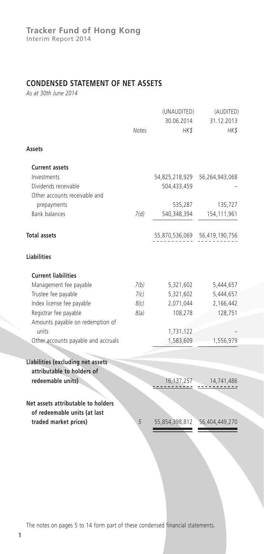## **CONDENSED STATEMENT OF NET ASSETS**

*As at 30th June 2014*

|                                                 | Notes | (UNAUDITED)<br>30.06.2014<br>HK\$ | (AUDITED)<br>31.12.2013<br>HK\$ |
|-------------------------------------------------|-------|-----------------------------------|---------------------------------|
| Assets                                          |       |                                   |                                 |
| <b>Current assets</b>                           |       |                                   |                                 |
| Investments                                     |       | 54,825,218,929                    | 56,264,943,068                  |
| Dividends receivable                            |       | 504,433,459                       |                                 |
| Other accounts receivable and<br>prepayments    |       | 535,287                           | 135,727                         |
| <b>Bank balances</b>                            | 7(d)  | 540,348,394                       | 154,111,961                     |
|                                                 |       |                                   |                                 |
| <b>Total assets</b>                             |       |                                   | 55,870,536,069 56,419,190,756   |
| <b>Liabilities</b>                              |       |                                   |                                 |
| <b>Current liabilities</b>                      |       |                                   |                                 |
| Management fee payable                          | 7(b)  | 5,321,602                         | 5,444,657                       |
| Trustee fee payable                             | 7(c)  | 5,321,602                         | 5,444,657                       |
| Index license fee payable                       | 8(c)  | 2,071,044                         | 2,166,442                       |
| Registrar fee payable                           | 8(a)  | 108,278                           | 128,751                         |
| Amounts payable on redemption of<br>units       |       | 1,731,122                         |                                 |
| Other accounts payable and accruals             |       | 1,583,609                         | 1,556,979                       |
|                                                 |       |                                   |                                 |
| Liabilities (excluding net assets               |       |                                   |                                 |
| attributable to holders of<br>redeemable units) |       | 16,137,257                        | 14,741,486                      |
|                                                 |       |                                   |                                 |
| Net assets attributable to holders              |       |                                   |                                 |
| of redeemable units (at last                    |       |                                   |                                 |
| traded market prices)                           | 5     | 55,854,398,812                    | 56,404,449,270                  |
|                                                 |       |                                   |                                 |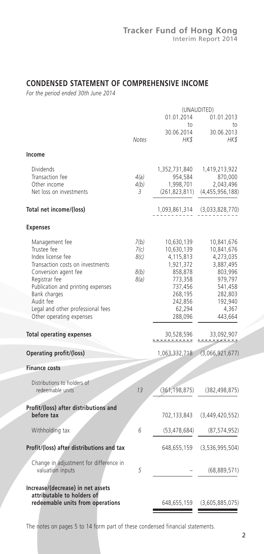## **CONDENSED STATEMENT OF COMPREHENSIVE INCOME**

*For the period ended 30th June 2014*

|                                                                                                                                                                                                                                                                    |                                      | (UNAUDITED)                                                                                                                    |                                                                                                                               |  |
|--------------------------------------------------------------------------------------------------------------------------------------------------------------------------------------------------------------------------------------------------------------------|--------------------------------------|--------------------------------------------------------------------------------------------------------------------------------|-------------------------------------------------------------------------------------------------------------------------------|--|
|                                                                                                                                                                                                                                                                    |                                      | 01.01.2014<br>to                                                                                                               | 01.01.2013<br>to                                                                                                              |  |
|                                                                                                                                                                                                                                                                    | <b>Notes</b>                         | 30.06.2014<br>HKS                                                                                                              | 30.06.2013<br>HK \$                                                                                                           |  |
| Income                                                                                                                                                                                                                                                             |                                      |                                                                                                                                |                                                                                                                               |  |
| Dividends<br>Transaction fee<br>Other income<br>Net loss on investments                                                                                                                                                                                            | 4(a)<br>4(b)<br>3                    | 1,352,731,840<br>954,584<br>1,998,701<br>(261, 823, 811)                                                                       | 1,419,213,922<br>870,000<br>2,043,496<br>(4,455,956,188)                                                                      |  |
| Total net income/(loss)                                                                                                                                                                                                                                            |                                      | 1,093,861,314                                                                                                                  | (3,033,828,770)                                                                                                               |  |
| <b>Expenses</b>                                                                                                                                                                                                                                                    |                                      |                                                                                                                                |                                                                                                                               |  |
| Management fee<br>Trustee fee<br>Index license fee<br>Transaction costs on investments<br>Conversion agent fee<br>Registrar fee<br>Publication and printing expenses<br>Bank charges<br>Audit fee<br>Legal and other professional fees<br>Other operating expenses | 7(b)<br>7(c)<br>8(c)<br>8(b)<br>8(a) | 10,630,139<br>10,630,139<br>4,115,813<br>1,921,372<br>858,878<br>773,358<br>737,456<br>268,195<br>242,856<br>62,294<br>288,096 | 10,841,676<br>10,841,676<br>4,273,035<br>3,887,495<br>803,996<br>979,797<br>541,458<br>282,803<br>192,940<br>4,367<br>443,664 |  |
| <b>Total operating expenses</b>                                                                                                                                                                                                                                    |                                      | 30,528,596                                                                                                                     | 33,092,907                                                                                                                    |  |
| Operating profit/(loss)                                                                                                                                                                                                                                            |                                      | 1,063,332,718                                                                                                                  | (3,066,921,677)                                                                                                               |  |
| <b>Finance costs</b>                                                                                                                                                                                                                                               |                                      |                                                                                                                                |                                                                                                                               |  |
| Distributions to holders of<br>redeemable units                                                                                                                                                                                                                    | 13                                   | (361, 198, 875)                                                                                                                | (382, 498, 875)                                                                                                               |  |
| Profit/(loss) after distributions and<br>before tax                                                                                                                                                                                                                |                                      | 702,133,843                                                                                                                    | (3,449,420,552)                                                                                                               |  |
| Withholding tax                                                                                                                                                                                                                                                    | 6                                    | (53, 478, 684)                                                                                                                 | (87, 574, 952)                                                                                                                |  |
| Profit/(loss) after distributions and tax                                                                                                                                                                                                                          |                                      | 648,655,159                                                                                                                    | (3,536,995,504)                                                                                                               |  |
| Change in adjustment for difference in<br>valuation inputs                                                                                                                                                                                                         | 5                                    |                                                                                                                                | (68,889,571)                                                                                                                  |  |
| Increase/(decrease) in net assets<br>attributable to holders of<br>redeemable units from operations                                                                                                                                                                |                                      | 648,655,159                                                                                                                    | (3,605,885,075)                                                                                                               |  |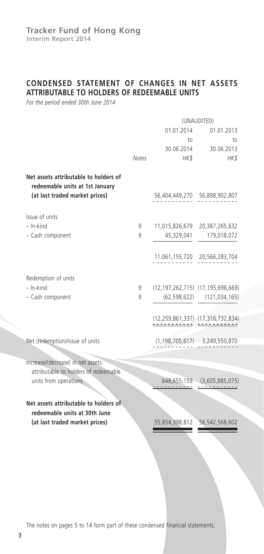## **CONDENSED STATEMENT OF CHANGES IN NET ASSETS ATTRIBUTABLE TO HOLDERS OF REDEEMABLE UNITS**

*For the period ended 30th June 2014*

|                                                                          |              | (UNAUDITED)        |                                       |  |
|--------------------------------------------------------------------------|--------------|--------------------|---------------------------------------|--|
|                                                                          | 01.01.2014   |                    | 01.01.2013                            |  |
|                                                                          |              | to                 | to                                    |  |
|                                                                          | <b>Notes</b> | 30.06.2014<br>HK\$ | 30.06.2013<br>HK\$                    |  |
|                                                                          |              |                    |                                       |  |
| Net assets attributable to holders of<br>redeemable units at 1st January |              |                    |                                       |  |
| (at last traded market prices)                                           |              |                    | 56,404,449,270 56,898,902,807         |  |
| Issue of units                                                           |              |                    |                                       |  |
| - In-kind                                                                | 9            |                    | 11,015,826,679 20,387,265,632         |  |
| - Cash component                                                         | 9            | 45,329,041         | 179,018,072                           |  |
|                                                                          |              |                    |                                       |  |
|                                                                          |              |                    | 11,061,155,720 20,566,283,704         |  |
|                                                                          |              |                    |                                       |  |
| Redemption of units<br>$-$ In-kind                                       | 9            |                    | (12,197,262,715) (17,195,698,669)     |  |
| - Cash component                                                         | 9            |                    | $(62, 598, 622)$ $(121, 034, 165)$    |  |
|                                                                          |              |                    |                                       |  |
|                                                                          |              |                    | (12,259,861,337) (17,316,732,834)     |  |
|                                                                          |              |                    |                                       |  |
| Net (redemption)/issue of units                                          |              |                    | $(1, 198, 705, 617)$ 3, 249, 550, 870 |  |
|                                                                          |              |                    |                                       |  |
| Increase/(decrease) in net assets                                        |              |                    |                                       |  |
| attributable to holders of redeemable<br>units from operations           |              |                    | 648,655,159 (3,605,885,075            |  |
|                                                                          |              |                    |                                       |  |
| Net assets attributable to holders of                                    |              |                    |                                       |  |
| redeemable units at 30th June                                            |              |                    |                                       |  |
| (at last traded market prices)                                           |              |                    |                                       |  |
|                                                                          |              |                    |                                       |  |
|                                                                          |              |                    |                                       |  |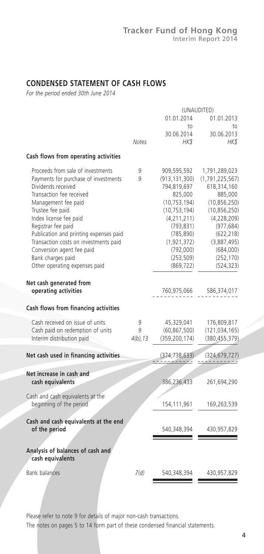## **CONDENSED STATEMENT OF CASH FLOWS**

*For the period ended 30th June 2014*

|                                                       | (UNAUDITED) |                 |                    |
|-------------------------------------------------------|-------------|-----------------|--------------------|
|                                                       |             | 01.01.2014      | 01.01.2013         |
|                                                       |             | to              | to                 |
|                                                       |             | 30.06.2014      | 30.06.2013         |
|                                                       | Notes       | HK\$            | HK\$               |
| Cash flows from operating activities                  |             |                 |                    |
| Proceeds from sale of investments                     | 9           | 909,595,592     | 1,791,289,023      |
| Payments for purchase of investments                  | 9           | (913, 131, 300) | (1, 791, 225, 567) |
| Dividends received                                    |             | 794,819,697     | 618,314,160        |
| Transaction fee received                              |             | 825,000         | 885,000            |
| Management fee paid                                   |             | (10, 753, 194)  | (10, 856, 250)     |
| Trustee fee paid                                      |             | (10, 753, 194)  | (10, 856, 250)     |
| Index license fee paid                                |             | (4, 211, 211)   | (4,228,209)        |
| Registrar fee paid                                    |             | (793, 831)      | (977, 684)         |
| Publication and printing expenses paid                |             | (785, 890)      | (622, 218)         |
| Transaction costs on investments paid                 |             | (1, 921, 372)   | (3,887,495)        |
| Conversion agent fee paid                             |             | (792,000)       | (684,000)          |
| Bank charges paid                                     |             | (253, 509)      | (252, 170)         |
| Other operating expenses paid                         |             | (869, 722)      | (524, 323)         |
| Net cash generated from                               |             |                 |                    |
| operating activities                                  |             | 760,975,066     | 586,374,017        |
|                                                       |             |                 |                    |
| Cash flows from financing activities                  |             |                 |                    |
| Cash received on issue of units                       | 9           | 45,329,041      | 176,809,817        |
| Cash paid on redemption of units                      | 9           | (60, 867, 500)  | (121, 034, 165)    |
| Interim distribution paid                             | $4(b)$ , 13 | (359, 200, 174) | (380, 455, 379)    |
| Net cash used in financing activities                 |             | (374, 738, 633) | (324, 679, 727)    |
|                                                       |             |                 |                    |
| Net increase in cash and                              |             |                 |                    |
| cash equivalents                                      |             | 386,236,433     | 261,694,290        |
| Cash and cash equivalents at the                      |             |                 |                    |
| beginning of the period                               |             | 154,111,961     | 169,263,539        |
|                                                       |             |                 |                    |
| Cash and cash equivalents at the end<br>of the period |             |                 |                    |
|                                                       |             | 540,348,394     | 430,957,829        |
|                                                       |             |                 |                    |
| Analysis of balances of cash and<br>cash equivalents  |             |                 |                    |
| <b>Bank balances</b>                                  | 7(d)        | 540,348,394     | 430,957,829        |
|                                                       |             |                 |                    |
|                                                       |             |                 |                    |

Please refer to note 9 for details of major non-cash transactions.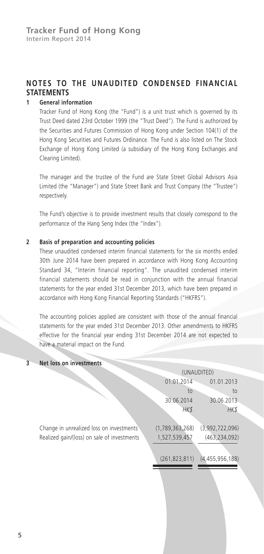## **NOTES TO THE UNAUDITED CONDENSED FINANCIAL STATEMENTS**

#### **1 General information**

Tracker Fund of Hong Kong (the "Fund") is a unit trust which is governed by its Trust Deed dated 23rd October 1999 (the "Trust Deed"). The Fund is authorized by the Securities and Futures Commission of Hong Kong under Section 104(1) of the Hong Kong Securities and Futures Ordinance. The Fund is also listed on The Stock Exchange of Hong Kong Limited (a subsidiary of the Hong Kong Exchanges and Clearing Limited).

The manager and the trustee of the Fund are State Street Global Advisors Asia Limited (the "Manager") and State Street Bank and Trust Company (the "Trustee") respectively.

The Fund's objective is to provide investment results that closely correspond to the performance of the Hang Seng Index (the "Index").

#### **2 Basis of preparation and accounting policies**

These unaudited condensed interim financial statements for the six months ended 30th June 2014 have been prepared in accordance with Hong Kong Accounting Standard 34, "Interim financial reporting". The unaudited condensed interim financial statements should be read in conjunction with the annual financial statements for the year ended 31st December 2013, which have been prepared in accordance with Hong Kong Financial Reporting Standards ("HKFRS").

The accounting policies applied are consistent with those of the annual financial statements for the year ended 31st December 2013. Other amendments to HKFRS effective for the financial year ending 31st December 2014 are not expected to have a material impact on the Fund.

## **3 Net loss on investments**

|                                             | (UNAUDITED)     |                 |  |
|---------------------------------------------|-----------------|-----------------|--|
|                                             | 01.01.2014      | 01.01.2013      |  |
|                                             | to              | to              |  |
|                                             | 30.06.2014      | 30.06.2013      |  |
|                                             | <b>HKS</b>      | HK\$            |  |
| Change in unrealized loss on investments    | (1,789,363,268) | (3,992,722,096) |  |
| Realized gain/(loss) on sale of investments | 1,527,539,457   | (463, 234, 092) |  |
|                                             | (261, 823, 811) | (4,455,956,188) |  |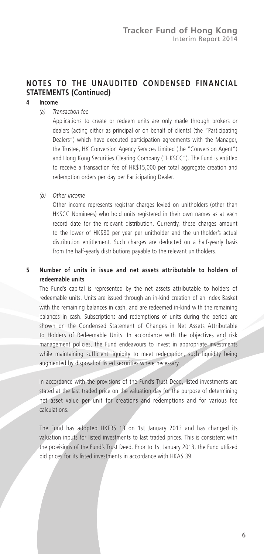## **4 Income**

#### *(a) Transaction fee*

Applications to create or redeem units are only made through brokers or dealers (acting either as principal or on behalf of clients) (the "Participating Dealers") which have executed participation agreements with the Manager, the Trustee, HK Conversion Agency Services Limited (the "Conversion Agent") and Hong Kong Securities Clearing Company ("HKSCC"). The Fund is entitled to receive a transaction fee of HK\$15,000 per total aggregate creation and redemption orders per day per Participating Dealer.

*(b) Other income*

Other income represents registrar charges levied on unitholders (other than HKSCC Nominees) who hold units registered in their own names as at each record date for the relevant distribution. Currently, these charges amount to the lower of HK\$80 per year per unitholder and the unitholder's actual distribution entitlement. Such charges are deducted on a half-yearly basis from the half-yearly distributions payable to the relevant unitholders.

## **5 Number of units in issue and net assets attributable to holders of redeemable units**

The Fund's capital is represented by the net assets attributable to holders of redeemable units. Units are issued through an in-kind creation of an Index Basket with the remaining balances in cash, and are redeemed in-kind with the remaining balances in cash. Subscriptions and redemptions of units during the period are shown on the Condensed Statement of Changes in Net Assets Attributable to Holders of Redeemable Units. In accordance with the objectives and risk management policies, the Fund endeavours to invest in appropriate investments while maintaining sufficient liquidity to meet redemption, such liquidity being augmented by disposal of listed securities where necessary.

In accordance with the provisions of the Fund's Trust Deed, listed investments are stated at the last traded price on the valuation day for the purpose of determining net asset value per unit for creations and redemptions and for various fee calculations.

The Fund has adopted HKFRS 13 on 1st January 2013 and has changed its valuation inputs for listed investments to last traded prices. This is consistent with the provisions of the Fund's Trust Deed. Prior to 1st January 2013, the Fund utilized bid prices for its listed investments in accordance with HKAS 39.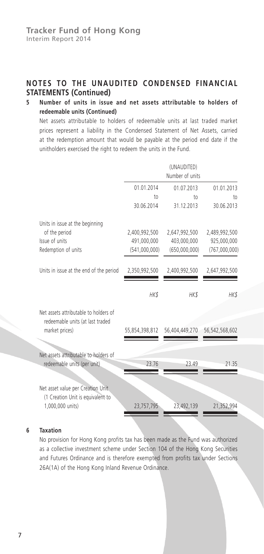## **5 Number of units in issue and net assets attributable to holders of redeemable units (Continued)**

Net assets attributable to holders of redeemable units at last traded market prices represent a liability in the Condensed Statement of Net Assets, carried at the redemption amount that would be payable at the period end date if the unitholders exercised the right to redeem the units in the Fund.

|                                                                           |                | (UNAUDITED)<br>Number of units |                |
|---------------------------------------------------------------------------|----------------|--------------------------------|----------------|
|                                                                           | 01.01.2014     | 01.07.2013                     | 01.01.2013     |
|                                                                           | to             | 10 <sub>o</sub>                | to             |
|                                                                           | 30.06.2014     | 31.12.2013                     | 30.06.2013     |
| Units in issue at the beginning                                           |                |                                |                |
| of the period                                                             | 2,400,992,500  | 2,647,992,500                  | 2,489,992,500  |
| Issue of units                                                            | 491,000,000    | 403,000,000                    | 925,000,000    |
| Redemption of units                                                       | (541,000,000)  | (650,000,000)                  | (767,000,000)  |
| Units in issue at the end of the period                                   | 2,350,992,500  | 2,400,992,500                  | 2,647,992,500  |
|                                                                           | HK\$           | HK\$                           | HK\$           |
| Net assets attributable to holders of<br>redeemable units (at last traded |                |                                |                |
| market prices)                                                            | 55,854,398,812 | 56,404,449,270                 | 56,542,568,602 |
| Net assets attributable to holders of                                     |                |                                |                |
| redeemable units (per unit)                                               | 23.76          | 23.49                          | 21.35          |
| Net asset value per Creation Unit.<br>(1 Creation Unit is equivalent to   |                |                                |                |
| 1,000,000 units)                                                          | 23,757,795     | 23,492,139                     | 21,352,994     |

#### **6 Taxation**

No provision for Hong Kong profits tax has been made as the Fund was authorized as a collective investment scheme under Section 104 of the Hong Kong Securities and Futures Ordinance and is therefore exempted from profits tax under Sections 26A(1A) of the Hong Kong Inland Revenue Ordinance.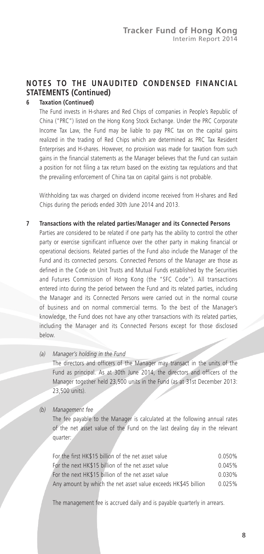## **6 Taxation (Continued)**

The Fund invests in H-shares and Red Chips of companies in People's Republic of China ("PRC") listed on the Hong Kong Stock Exchange. Under the PRC Corporate Income Tax Law, the Fund may be liable to pay PRC tax on the capital gains realized in the trading of Red Chips which are determined as PRC Tax Resident Enterprises and H-shares. However, no provision was made for taxation from such gains in the financial statements as the Manager believes that the Fund can sustain a position for not filing a tax return based on the existing tax regulations and that the prevailing enforcement of China tax on capital gains is not probable.

Withholding tax was charged on dividend income received from H-shares and Red Chips during the periods ended 30th June 2014 and 2013.

- **7 Transactions with the related parties/Manager and its Connected Persons** Parties are considered to be related if one party has the ability to control the other party or exercise significant influence over the other party in making financial or operational decisions. Related parties of the Fund also include the Manager of the Fund and its connected persons. Connected Persons of the Manager are those as defined in the Code on Unit Trusts and Mutual Funds established by the Securities and Futures Commission of Hong Kong (the "SFC Code"). All transactions entered into during the period between the Fund and its related parties, including the Manager and its Connected Persons were carried out in the normal course of business and on normal commercial terms. To the best of the Manager's knowledge, the Fund does not have any other transactions with its related parties, including the Manager and its Connected Persons except for those disclosed below.
	- *(a) Manager's holding in the Fund*

The directors and officers of the Manager may transact in the units of the Fund as principal. As at 30th June 2014, the directors and officers of the Manager together held 23,500 units in the Fund (as at 31st December 2013: 23,500 units).

#### *(b) Management fee*

The fee payable to the Manager is calculated at the following annual rates of the net asset value of the Fund on the last dealing day in the relevant quarter:

| For the first HK\$15 billion of the net asset value            | 0.050% |
|----------------------------------------------------------------|--------|
| For the next HK\$15 billion of the net asset value             | 0.045% |
| For the next HK\$15 billion of the net asset value             | 0.030% |
| Any amount by which the net asset value exceeds HK\$45 billion | 0.025% |

The management fee is accrued daily and is payable quarterly in arrears.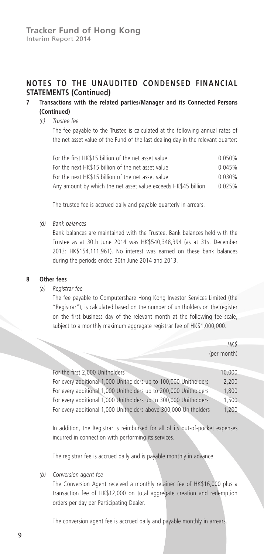## **7 Transactions with the related parties/Manager and its Connected Persons (Continued)**

#### *(c) Trustee fee*

The fee payable to the Trustee is calculated at the following annual rates of the net asset value of the Fund of the last dealing day in the relevant quarter:

| For the first HK\$15 billion of the net asset value            | 0.050% |
|----------------------------------------------------------------|--------|
| For the next HK\$15 billion of the net asset value             | 0.045% |
| For the next HK\$15 billion of the net asset value             | 0.030% |
| Any amount by which the net asset value exceeds HK\$45 billion | 0.025% |

The trustee fee is accrued daily and payable quarterly in arrears.

*(d) Bank balances*

Bank balances are maintained with the Trustee. Bank balances held with the Trustee as at 30th June 2014 was HK\$540,348,394 (as at 31st December 2013: HK\$154,111,961). No interest was earned on these bank balances during the periods ended 30th June 2014 and 2013.

#### **8 Other fees**

*(a) Registrar fee*

The fee payable to Computershare Hong Kong Investor Services Limited (the "Registrar"), is calculated based on the number of unitholders on the register on the first business day of the relevant month at the following fee scale, subject to a monthly maximum aggregate registrar fee of HK\$1,000,000.

|                                                                                                                                                                                                                                | HK\$        |
|--------------------------------------------------------------------------------------------------------------------------------------------------------------------------------------------------------------------------------|-------------|
|                                                                                                                                                                                                                                | (per month) |
|                                                                                                                                                                                                                                |             |
| For the first 2,000 Unitholders                                                                                                                                                                                                | 10,000      |
| For every additional 1,000 Unitholders up to 100,000 Unitholders                                                                                                                                                               | 2,200       |
| For every additional 1,000 Unitholders up to 200,000 Unitholders                                                                                                                                                               | 1,800       |
| For every additional 1,000 Unitholders up to 300,000 Unitholders                                                                                                                                                               | 1,500       |
| For every additional 1,000 Unitholders above 300,000 Unitholders                                                                                                                                                               | 1,200       |
|                                                                                                                                                                                                                                |             |
| the second contract of the second contract of the second contract of the second contract of the second contract of the second contract of the second contract of the second contract of the second contract of the second cont |             |

In addition, the Registrar is reimbursed for all of its out-of-pocket expenses incurred in connection with performing its services.

The registrar fee is accrued daily and is payable monthly in advance.

*(b) Conversion agent fee*

The Conversion Agent received a monthly retainer fee of HK\$16,000 plus a transaction fee of HK\$12,000 on total aggregate creation and redemption orders per day per Participating Dealer.

The conversion agent fee is accrued daily and payable monthly in arrears.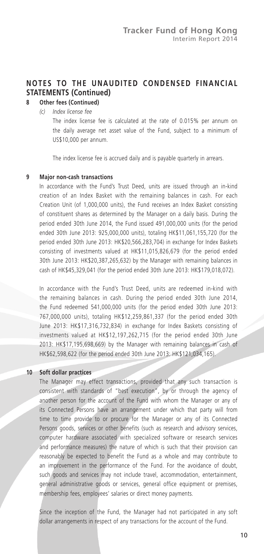## **8 Other fees (Continued)**

*(c) Index license fee*

The index license fee is calculated at the rate of 0.015% per annum on the daily average net asset value of the Fund, subject to a minimum of US\$10,000 per annum.

The index license fee is accrued daily and is payable quarterly in arrears.

#### **9 Major non-cash transactions**

In accordance with the Fund's Trust Deed, units are issued through an in-kind creation of an Index Basket with the remaining balances in cash. For each Creation Unit (of 1,000,000 units), the Fund receives an Index Basket consisting of constituent shares as determined by the Manager on a daily basis. During the period ended 30th June 2014, the Fund issued 491,000,000 units (for the period ended 30th June 2013: 925,000,000 units), totaling HK\$11,061,155,720 (for the period ended 30th June 2013: HK\$20,566,283,704) in exchange for Index Baskets consisting of investments valued at HK\$11,015,826,679 (for the period ended 30th June 2013: HK\$20,387,265,632) by the Manager with remaining balances in cash of HK\$45,329,041 (for the period ended 30th June 2013: HK\$179,018,072).

In accordance with the Fund's Trust Deed, units are redeemed in-kind with the remaining balances in cash. During the period ended 30th June 2014, the Fund redeemed 541,000,000 units (for the period ended 30th June 2013: 767,000,000 units), totaling HK\$12,259,861,337 (for the period ended 30th June 2013: HK\$17,316,732,834) in exchange for Index Baskets consisting of investments valued at HK\$12,197,262,715 (for the period ended 30th June 2013: HK\$17,195,698,669) by the Manager with remaining balances in cash of HK\$62,598,622 (for the period ended 30th June 2013: HK\$121,034,165).

#### **10 Soft dollar practices**

The Manager may effect transactions, provided that any such transaction is consistent with standards of "best execution", by or through the agency of another person for the account of the Fund with whom the Manager or any of its Connected Persons have an arrangement under which that party will from time to time provide to or procure for the Manager or any of its Connected Persons goods, services or other benefits (such as research and advisory services, computer hardware associated with specialized software or research services and performance measures) the nature of which is such that their provision can reasonably be expected to benefit the Fund as a whole and may contribute to an improvement in the performance of the Fund. For the avoidance of doubt, such goods and services may not include travel, accommodation, entertainment, general administrative goods or services, general office equipment or premises, membership fees, employees' salaries or direct money payments.

Since the inception of the Fund, the Manager had not participated in any soft dollar arrangements in respect of any transactions for the account of the Fund.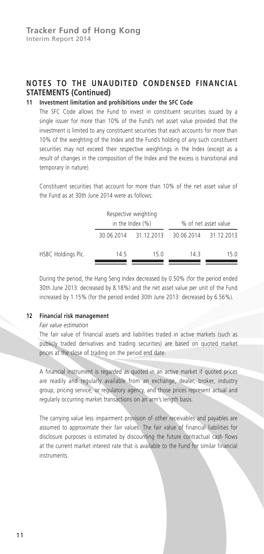## **11 Investment limitation and prohibitions under the SFC Code**

The SFC Code allows the Fund to invest in constituent securities issued by a single issuer for more than 10% of the Fund's net asset value provided that the investment is limited to any constituent securities that each accounts for more than 10% of the weighting of the Index and the Fund's holding of any such constituent securities may not exceed their respective weightings in the Index (except as a result of changes in the composition of the Index and the excess is transitional and temporary in nature).

Constituent securities that account for more than 10% of the net asset value of the Fund as at 30th June 2014 were as follows:

|                    |            | Respective weighting<br>in the Index $(\% )$ |            | % of net asset value |
|--------------------|------------|----------------------------------------------|------------|----------------------|
|                    | 30.06.2014 | 31.12.2013                                   | 30.06.2014 | 31.12.2013           |
| HSBC Holdings Plc. | 14.5       | 15 O                                         | 143        | 15 O                 |

During the period, the Hang Seng Index decreased by 0.50% (for the period ended 30th June 2013: decreased by 8.18%) and the net asset value per unit of the Fund increased by 1.15% (for the period ended 30th June 2013: decreased by 6.56%).

#### **12 Financial risk management**

#### *Fair value estimation*

The fair value of financial assets and liabilities traded in active markets (such as publicly traded derivatives and trading securities) are based on quoted market prices at the close of trading on the period end date.

A financial instrument is regarded as quoted in an active market if quoted prices are readily and regularly available from an exchange, dealer, broker, industry group, pricing service, or regulatory agency, and those prices represent actual and regularly occurring market transactions on an arm's length basis.

The carrying value less impairment provision of other receivables and payables are assumed to approximate their fair values. The fair value of financial liabilities for disclosure purposes is estimated by discounting the future contractual cash flows at the current market interest rate that is available to the Fund for similar financial instruments.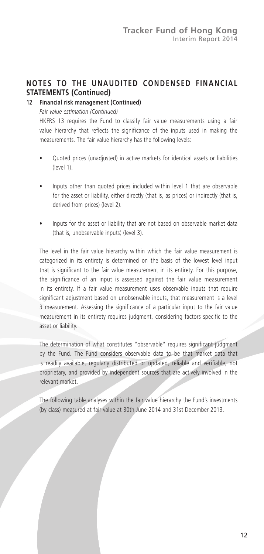## **12 Financial risk management (Continued)**

*Fair value estimation (Continued)*

HKFRS 13 requires the Fund to classify fair value measurements using a fair value hierarchy that reflects the significance of the inputs used in making the measurements. The fair value hierarchy has the following levels:

- Quoted prices (unadjusted) in active markets for identical assets or liabilities (level 1).
- Inputs other than quoted prices included within level 1 that are observable for the asset or liability, either directly (that is, as prices) or indirectly (that is, derived from prices) (level 2).
- Inputs for the asset or liability that are not based on observable market data (that is, unobservable inputs) (level 3).

The level in the fair value hierarchy within which the fair value measurement is categorized in its entirety is determined on the basis of the lowest level input that is significant to the fair value measurement in its entirety. For this purpose, the significance of an input is assessed against the fair value measurement in its entirety. If a fair value measurement uses observable inputs that require significant adjustment based on unobservable inputs, that measurement is a level 3 measurement. Assessing the significance of a particular input to the fair value measurement in its entirety requires judgment, considering factors specific to the asset or liability.

The determination of what constitutes "observable" requires significant judgment by the Fund. The Fund considers observable data to be that market data that is readily available, regularly distributed or updated, reliable and verifiable, not proprietary, and provided by independent sources that are actively involved in the relevant market.

The following table analyses within the fair value hierarchy the Fund's investments (by class) measured at fair value at 30th June 2014 and 31st December 2013.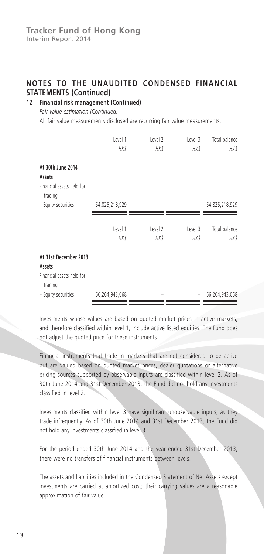## **12 Financial risk management (Continued)**

*Fair value estimation (Continued)*

All fair value measurements disclosed are recurring fair value measurements.

|                                                                         | Level 1<br>HK\$ | Level 2<br>HK\$ | Level 3<br>HK\$ | Total balance<br>HK\$ |
|-------------------------------------------------------------------------|-----------------|-----------------|-----------------|-----------------------|
| At 30th June 2014<br>Assets<br>Financial assets held for<br>trading     |                 |                 |                 |                       |
| - Equity securities                                                     | 54,825,218,929  |                 | -               | 54,825,218,929        |
|                                                                         | Level 1<br>HK\$ | Level 2<br>HK\$ | Level 3<br>HK\$ | Total balance<br>HK\$ |
| At 31st December 2013<br>Assets<br>Financial assets held for<br>trading |                 |                 |                 |                       |
| - Equity securities                                                     | 56,264,943,068  |                 |                 | 56,264,943,068        |

Investments whose values are based on quoted market prices in active markets, and therefore classified within level 1, include active listed equities. The Fund does not adjust the quoted price for these instruments.

Financial instruments that trade in markets that are not considered to be active but are valued based on quoted market prices, dealer quotations or alternative pricing sources supported by observable inputs are classified within level 2. As of 30th June 2014 and 31st December 2013, the Fund did not hold any investments classified in level 2.

Investments classified within level 3 have significant unobservable inputs, as they trade infrequently. As of 30th June 2014 and 31st December 2013, the Fund did not hold any investments classified in level 3.

For the period ended 30th June 2014 and the year ended 31st December 2013, there were no transfers of financial instruments between levels.

The assets and liabilities included in the Condensed Statement of Net Assets except investments are carried at amortized cost; their carrying values are a reasonable approximation of fair value.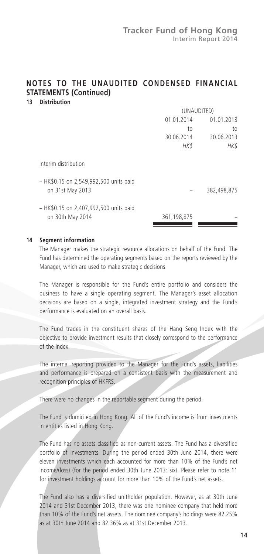#### **NOTES TO THE UNAUDITED CONDENSED FINANCIAL STATEMENTS (Continued) 13 Distribution**

|                                                            | (UNAUDITED) |             |  |
|------------------------------------------------------------|-------------|-------------|--|
|                                                            | 01.01.2014  | 01.01.2013  |  |
|                                                            | to          | to          |  |
|                                                            | 30.06.2014  | 30.06.2013  |  |
|                                                            | HK\$        | HK\$        |  |
| Interim distribution                                       |             |             |  |
| - HK\$0.15 on 2,549,992,500 units paid<br>on 31st May 2013 |             | 382,498,875 |  |
| - HK\$0.15 on 2,407,992,500 units paid<br>on 30th May 2014 | 361,198,875 |             |  |

#### **14 Segment information**

The Manager makes the strategic resource allocations on behalf of the Fund. The Fund has determined the operating segments based on the reports reviewed by the Manager, which are used to make strategic decisions.

The Manager is responsible for the Fund's entire portfolio and considers the business to have a single operating segment. The Manager's asset allocation decisions are based on a single, integrated investment strategy and the Fund's performance is evaluated on an overall basis.

The Fund trades in the constituent shares of the Hang Seng Index with the objective to provide investment results that closely correspond to the performance of the Index.

The internal reporting provided to the Manager for the Fund's assets, liabilities and performance is prepared on a consistent basis with the measurement and recognition principles of HKFRS.

There were no changes in the reportable segment during the period.

The Fund is domiciled in Hong Kong. All of the Fund's income is from investments in entities listed in Hong Kong.

The Fund has no assets classified as non-current assets. The Fund has a diversified portfolio of investments. During the period ended 30th June 2014, there were eleven investments which each accounted for more than 10% of the Fund's net income/(loss) (for the period ended 30th June 2013: six). Please refer to note 11 for investment holdings account for more than 10% of the Fund's net assets.

The Fund also has a diversified unitholder population. However, as at 30th June 2014 and 31st December 2013, there was one nominee company that held more than 10% of the Fund's net assets. The nominee company's holdings were 82.25% as at 30th June 2014 and 82.36% as at 31st December 2013.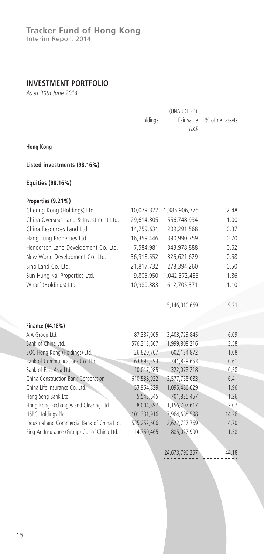## **INVESTMENT PORTFOLIO**

*As at 30th June 2014*

|                                              | Holdings    | Fair value    | % of net assets |
|----------------------------------------------|-------------|---------------|-----------------|
|                                              |             | HK\$          |                 |
| <b>Hong Kong</b>                             |             |               |                 |
| Listed investments (98.16%)                  |             |               |                 |
| Equities (98.16%)                            |             |               |                 |
| Properties (9.21%)                           |             |               |                 |
| Cheung Kong (Holdings) Ltd.                  | 10,079,322  | 1,385,906,775 | 2.48            |
| China Overseas Land & Investment Ltd.        | 29,614,305  | 556,748,934   | 1.00            |
| China Resources Land Ltd.                    | 14,759,631  | 209,291,568   | 0.37            |
| Hang Lung Properties Ltd.                    | 16,359,446  | 390,990,759   | 0.70            |
| Henderson Land Development Co. Ltd.          | 7,584,981   | 343,978,888   | 0.62            |
| New World Development Co. Ltd.               | 36,918,552  | 325,621,629   | 0.58            |
| Sino Land Co. Ltd.                           | 21,817,732  | 278,394,260   | 0.50            |
| Sun Hung Kai Properties Ltd.                 | 9,805,950   | 1,042,372,485 | 1.86            |
| Wharf (Holdings) Ltd.                        | 10,980,383  | 612,705,371   | 1.10            |
|                                              |             |               |                 |
|                                              |             | 5,146,010,669 | 9.21            |
|                                              |             |               |                 |
| Finance (44.18%)                             |             |               |                 |
| AIA Group Ltd.                               | 87,387,005  | 3,403,723,845 | 6.09            |
| Bank of China Ltd.                           | 576,313,607 | 1,999,808,216 | 3.58            |
| BOC Hong Kong (Holdings) Ltd.                | 26,820,707  | 602,124,872   | 1.08            |
| Bank of Communications Co. Ltd.              | 63,893,393  | 341,829,653   | 0.61            |
| Bank of East Asia Ltd.                       | 10,017,985  | 322,078,218   | 0.58            |
| China Construction Bank Corporation          | 610,538,922 | 3,577,758,083 | 6.41            |
| China Life Insurance Co. Ltd.                | 53,964,829  | 1,095,486,029 | 1.96            |
| Hang Seng Bank Ltd.                          | 5,543,645   | 701,825,457   | 1.26            |
| Hong Kong Exchanges and Clearing Ltd.        | 8,004,897   | 1,156,707,617 | 2.07            |
| <b>HSBC Holdings Plc</b>                     | 101,331,916 | 7,964,688,598 | 14.26           |
| Industrial and Commercial Bank of China Ltd. | 535,252,606 | 2,622,737,769 | 4.70            |
| Ping An Insurance (Group) Co. of China Ltd.  | 14,750,465  | 885,027,900   | 1.58            |
|                                              |             |               |                 |

24,673,796,257 44.18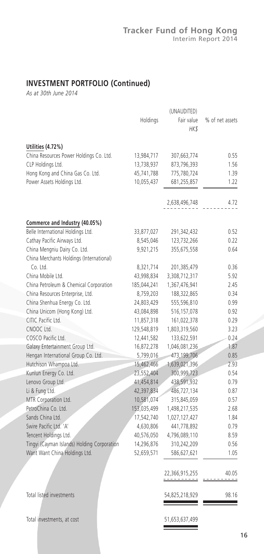## **INVESTMENT PORTFOLIO (Continued)**

*As at 30th June 2014*

|                                             |             | (UNAUDITED)    |                 |
|---------------------------------------------|-------------|----------------|-----------------|
|                                             | Holdings    | Fair value     | % of net assets |
|                                             |             | HK\$           |                 |
|                                             |             |                |                 |
| Utilities (4.72%)                           |             |                |                 |
| China Resources Power Holdings Co. Ltd.     | 13,984,717  | 307,663,774    | 0.55            |
| CLP Holdings Ltd.                           | 13,738,937  | 873,796,393    | 1.56            |
| Hong Kong and China Gas Co. Ltd.            | 45,741,788  | 775,780,724    | 1.39            |
| Power Assets Holdings Ltd.                  | 10,055,437  | 681,255,857    | 1.22            |
|                                             |             | 2,638,496,748  | 4.72            |
|                                             |             |                |                 |
| Commerce and Industry (40.05%)              |             |                |                 |
| Belle International Holdings Ltd.           | 33,877,027  | 291,342,432    | 0.52            |
| Cathay Pacific Airways Ltd.                 | 8,545,046   | 123,732,266    | 0.22            |
| China Mengniu Dairy Co. Ltd.                | 9,921,215   | 355,675,558    | 0.64            |
| China Merchants Holdings (International)    |             |                |                 |
| Co. Ltd.                                    | 8,321,714   | 201,385,479    | 0.36            |
| China Mobile Ltd.                           | 43,998,834  | 3,308,712,317  | 5.92            |
| China Petroleum & Chemical Corporation      | 185,044,241 | 1,367,476,941  | 2.45            |
| China Resources Enterprise, Ltd.            | 8,759,203   | 188,322,865    | 0.34            |
| China Shenhua Energy Co. Ltd.               | 24,803,429  | 555,596,810    | 0.99            |
| China Unicom (Hong Kong) Ltd.               | 43,084,898  | 516, 157, 078  | 0.92            |
| CITIC Pacific Ltd.                          | 11,857,318  | 161,022,378    | 0.29            |
| CNOOC Ltd.                                  | 129,548,819 | 1,803,319,560  | 3.23            |
| COSCO Pacific Ltd.                          | 12,441,582  | 133,622,591    | 0.24            |
| Galaxy Entertainment Group Ltd.             | 16,872,278  | 1,046,081,236  | 1.87            |
| Hengan International Group Co. Ltd.         | 5,799,016   | 473,199,706    | 0.85            |
| Hutchison Whampoa Ltd.                      | 15,462,466  | 1,639,021,396  | 2.93            |
| Kunlun Energy Co. Ltd.                      | 23,552,404  | 300,999,723    | 0.54            |
| Lenovo Group Ltd.                           | 41,454,814  | 438,591,932    | 0.79            |
|                                             |             |                | 0.87            |
| Li & Fung Ltd.                              | 42,397,834  | 486,727,134    |                 |
| MTR Corporation Ltd.<br>PetroChina Co. Ltd. | 10,581,074  | 315,845,059    | 0.57            |
|                                             | 153,035,499 | 1,498,217,535  | 2.68            |
| Sands China Ltd.                            | 17,542,740  | 1,027,127,427  | 1.84            |
| Swire Pacific Ltd. 'A'                      | 4,630,806   | 441,778,892    | 0.79            |
| Tencent Holdings Ltd.                       | 40,576,050  | 4,796,089,110  | 8.59            |
| Tingyi (Cayman Islands) Holding Corporation | 14,296,876  | 310,242,209    | 0.56            |
| Want Want China Holdings Ltd.               | 52,659,571  | 586,627,621    | 1.05            |
|                                             |             | 22,366,915,255 | 40.05           |
|                                             |             | ----------     | ----            |
| Total listed investments                    |             | 54,825,218,929 | 98.16           |
|                                             |             |                |                 |
| Total investments, at cost                  |             | 51,653,637,499 |                 |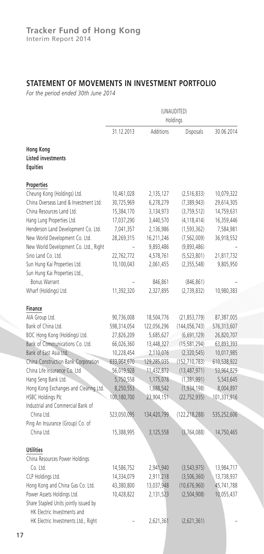## **STATEMENT OF MOVEMENTS IN INVESTMENT PORTFOLIO**

*For the period ended 30th June 2014*

|                                                                    | (UNAUDITED)<br>Holdings  |                        |                             |                          |
|--------------------------------------------------------------------|--------------------------|------------------------|-----------------------------|--------------------------|
|                                                                    | 31.12.2013               | Additions              | Disposals                   | 30.06.2014               |
| Hong Kong<br><b>Listed investments</b><br><b>Equities</b>          |                          |                        |                             |                          |
| Properties                                                         |                          |                        |                             |                          |
| Cheung Kong (Holdings) Ltd.                                        | 10,461,028               | 2,135,127              | (2,516,833)                 | 10,079,322               |
| China Overseas Land & Investment Ltd.                              | 30,725,969               | 6,278,279              | (7, 389, 943)               | 29,614,305               |
| China Resources Land Ltd.                                          | 15,384,170               | 3,134,973              | (3,759,512)                 | 14,759,631               |
| Hang Lung Properties Ltd.                                          | 17,037,290               | 3,440,570              | (4, 118, 414)               | 16,359,446               |
| Henderson Land Development Co. Ltd.                                | 7,041,357                | 2,136,986              | (1, 593, 362)               | 7,584,981                |
| New World Development Co. Ltd.                                     | 28,269,315               | 16,211,246             | (7, 562, 009)               | 36,918,552               |
| New World Development Co. Ltd., Right                              |                          | 9,893,486              | (9,893,486)                 |                          |
| Sino Land Co. Ltd.                                                 | 22,762,772               | 4,578,761              | (5,523,801)                 | 21,817,732               |
| Sun Hung Kai Properties Ltd.<br>Sun Hung Kai Properties Ltd.,      | 10,100,043               | 2,061,455              | (2, 355, 548)               | 9,805,950                |
| <b>Bonus Warrant</b>                                               |                          | 846,861                | (846, 861)                  |                          |
| Wharf (Holdings) Ltd.                                              | 11,392,320               | 2,327,895              | (2,739,832)                 | 10,980,383               |
| Finance                                                            |                          |                        |                             |                          |
| AIA Group Ltd.                                                     | 90,736,008               | 18,504,776             | (21, 853, 779)              | 87,387,005               |
| Bank of China Ltd.                                                 | 598,314,054              | 122,056,296            | (144, 056, 743)             | 576,313,607              |
| BOC Hong Kong (Holdings) Ltd.                                      | 27,826,209               | 5,685,627              | (6,691,129)                 | 26,820,707               |
| Bank of Communications Co. Ltd.                                    | 66,026,360               | 13,448,327             | (15, 581, 294)              | 63,893,393               |
| Bank of East Asia Ltd.                                             | 10,228,454               | 2,110,076              | (2,320,545)                 | 10,017,985               |
| China Construction Bank Corporation                                | 633,964,670              | 129,285,035            | (152, 710, 783)             | 610,538,922              |
| China Life Insurance Co. Ltd                                       | 56,019,928               | 11,432,872             | (13, 487, 971)              | 53,964,829               |
| Hang Seng Bank Ltd.                                                | 5,750,558                | 1,175,078              | (1, 381, 991)               | 5,543,645                |
| Hong Kong Exchanges and Clearing Ltd.                              | 8,250,553                | 1,688,542              | (1, 934, 198)               | 8,004,897                |
| HSBC Holdings Plc                                                  | 100,180,700              | 23,904,151             | (22, 752, 935)              | 101,331,916              |
| Industrial and Commercial Bank of                                  |                          |                        |                             |                          |
| China Ltd.<br>Ping An Insurance (Group) Co. of                     | 523,050,095              | 134,420,799            | (122, 218, 288)             | 535,252,606              |
| China Ltd.                                                         | 15,388,995               | 3,125,558              | (3,764,088)                 | 14,750,465               |
|                                                                    |                          |                        |                             |                          |
| <b>Utilities</b>                                                   |                          |                        |                             |                          |
| China Resources Power Holdings<br>Co. Ltd.                         |                          |                        |                             |                          |
|                                                                    | 14,586,752<br>14,334,079 | 2,941,940<br>2,911,218 | (3, 543, 975)               | 13,984,717               |
| CLP Holdings Ltd.<br>Hong Kong and China Gas Co. Ltd.              | 43,380,800               | 13,037,948             | (3,506,360)<br>(10,676,960) | 13,738,937<br>45,741,788 |
| Power Assets Holdings Ltd.                                         | 10,428,822               | 2,131,523              | (2, 504, 908)               | 10,055,437               |
| Share Stapled Units jointly issued by                              |                          |                        |                             |                          |
| HK Electric Investments and<br>HK Electric Investments Ltd., Right |                          |                        |                             |                          |
|                                                                    |                          | 2,621,361              | (2,621,361)                 |                          |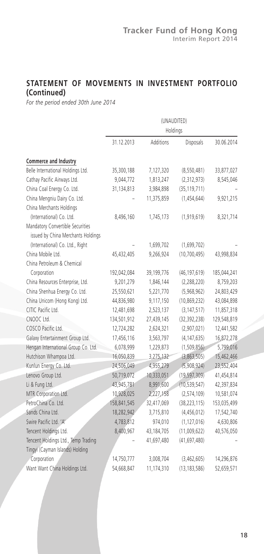## **STATEMENT OF MOVEMENTS IN INVESTMENT PORTFOLIO (Continued)**

*For the period ended 30th June 2014*

|                                     |             |            | (UNAUDITED)    |             |  |
|-------------------------------------|-------------|------------|----------------|-------------|--|
|                                     |             | Holdings   |                |             |  |
|                                     | 31.12.2013  | Additions  | Disposals      | 30.06.2014  |  |
| Commerce and Industry               |             |            |                |             |  |
| Belle International Holdings Ltd.   | 35,300,188  | 7,127,320  | (8,550,481)    | 33,877,027  |  |
| Cathay Pacific Airways Ltd.         | 9,044,772   | 1,813,247  | (2,312,973)    | 8,545,046   |  |
| China Coal Energy Co. Ltd.          | 31,134,813  | 3,984,898  | (35, 119, 711) |             |  |
| China Mengniu Dairy Co. Ltd.        |             | 11,375,859 | (1,454,644)    | 9,921,215   |  |
| China Merchants Holdings            |             |            |                |             |  |
| (International) Co. Ltd.            | 8,496,160   | 1,745,173  | (1,919,619)    | 8,321,714   |  |
| Mandatory Convertible Securities    |             |            |                |             |  |
| issued by China Merchants Holdings  |             |            |                |             |  |
| (International) Co. Ltd., Right     |             | 1,699,702  | (1,699,702)    |             |  |
| China Mobile Ltd.                   | 45,432,405  | 9,266,924  | (10, 700, 495) | 43,998,834  |  |
| China Petroleum & Chemical          |             |            |                |             |  |
| Corporation                         | 192,042,084 | 39,199,776 | (46, 197, 619) | 185,044,241 |  |
| China Resources Enterprise, Ltd.    | 9,201,279   | 1,846,144  | (2, 288, 220)  | 8,759,203   |  |
| China Shenhua Energy Co. Ltd.       | 25,550,621  | 5,221,770  | (5,968,962)    | 24,803,429  |  |
| China Unicom (Hong Kong) Ltd.       | 44,836,980  | 9,117,150  | (10, 869, 232) | 43,084,898  |  |
| CITIC Pacific Ltd.                  | 12,481,698  | 2,523,137  | (3, 147, 517)  | 11,857,318  |  |
| CNOOC Ltd.                          | 134,501,912 | 27,439,145 | (32, 392, 238) | 129,548,819 |  |
| COSCO Pacific Ltd.                  | 12,724,282  | 2,624,321  | (2,907,021)    | 12,441,582  |  |
| Galaxy Entertainment Group Ltd.     | 17,456,116  | 3,563,797  | (4, 147, 635)  | 16,872,278  |  |
| Hengan International Group Co. Ltd. | 6,078,999   | 1,229,873  | (1, 509, 856)  | 5,799,016   |  |
| Hutchison Whampoa Ltd.              | 16,050,839  | 3,275,132  | (3,863,505)    | 15,462,466  |  |
| Kunlun Energy Co. Ltd.              | 24,506,049  | 4,955,279  | (5,908,924)    | 23,552,404  |  |
| Lenovo Group Ltd.                   | 50,719,072  | 10,333,051 | (19, 597, 309) | 41,454,814  |  |
| Li & Fung Ltd.                      | 43,945,781  | 8,991,600  | (10, 539, 547) | 42,397,834  |  |
| MTR Corporation Ltd.                | 10,928,025  | 2,227,158  | (2,574,109)    | 10,581,074  |  |
| PetroChina Co. Ltd.                 | 158,841,545 | 32,417,069 | (38, 223, 115) | 153,035,499 |  |
| Sands China Ltd.                    | 18,282,942  | 3,715,810  | (4,456,012)    | 17,542,740  |  |
| Swire Pacific Ltd. 'A'              | 4,783,812   | 974,010    | (1, 127, 016)  | 4,630,806   |  |
| Tencent Holdings Ltd.               | 8,400,967   | 43,184,705 | (11,009,622)   | 40,576,050  |  |
| Tencent Holdings Ltd., Temp Trading |             | 41,697,480 | (41, 697, 480) |             |  |
| Tingyi (Cayman Islands) Holding     |             |            |                |             |  |
| Corporation                         | 14,750,777  | 3,008,704  | (3,462,605)    | 14,296,876  |  |
| Want Want China Holdings Ltd.       | 54,668,847  | 11,174,310 | (13, 183, 586) | 52,659,571  |  |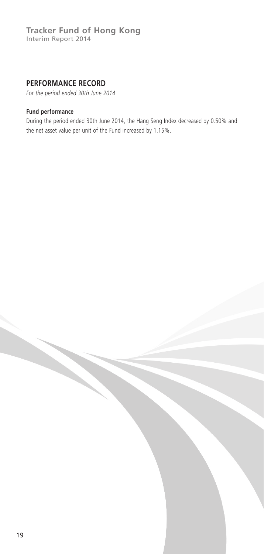## **Tracker Fund of Hong Kong** Interim Report 2014

## **PERFORMANCE RECORD**

*For the period ended 30th June 2014*

### **Fund performance**

During the period ended 30th June 2014, the Hang Seng Index decreased by 0.50% and the net asset value per unit of the Fund increased by 1.15%.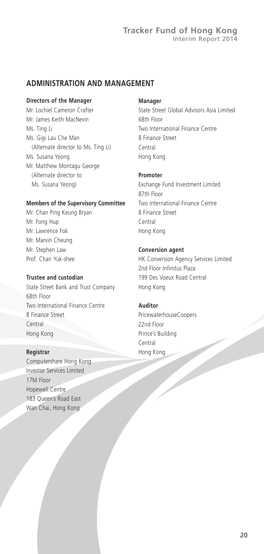## **ADMINISTRATION AND MANAGEMENT**

#### **Directors of the Manager**

Mr. Lochiel Cameron Crafter Mr. James Keith MacNevin Ms. Ting Li Ms. Gigi Lau Che Man (Alternate director to Ms. Ting Li) Ms. Susana Yeong Mr. Matthew Montagu George (Alternate director to Ms. Susana Yeong)

### **Members of the Supervisory Committee**

Mr. Chan Ping Keung Bryan Mr. Fong Hup Mr. Lawrence Fok Mr. Marvin Cheung Mr. Stephen Law Prof. Chan Yuk-shee

### **Trustee and custodian**

State Street Bank and Trust Company 68th Floor Two International Finance Centre 8 Finance Street Central Hong Kong

#### **Registrar**

Computershare Hong Kong Investor Services Limited 17M Floor Hopewell Centre 183 Queen's Road East Wan Chai, Hong Kong

#### **Manager**

State Street Global Advisors Asia Limited 68th Floor Two International Finance Centre 8 Finance Street Central Hong Kong

#### **Promoter**

Exchange Fund Investment Limited 87th Floor Two International Finance Centre 8 Finance Street Central Hong Kong

#### **Conversion agent**

HK Conversion Agency Services Limited 2nd Floor Infinitus Plaza 199 Des Voeux Road Central Hong Kong

## **Auditor**

PricewaterhouseCoopers 22nd Floor Prince's Building Central Hong Kong